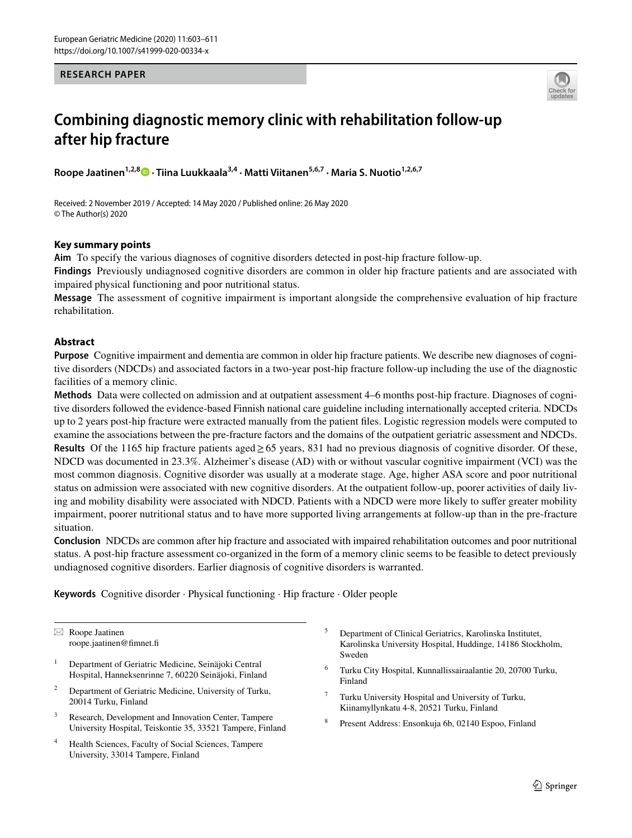#### **RESEARCH PAPER**



# **Combining diagnostic memory clinic with rehabilitation follow‑up after hip fracture**

RoopeJaatinen<sup>1,2,8</sup> • Tiina Luukkaala<sup>3,4</sup> · Matti Viitanen<sup>5,6,7</sup> · Maria S. Nuotio<sup>1,2,6,7</sup>

Received: 2 November 2019 / Accepted: 14 May 2020 / Published online: 26 May 2020 © The Author(s) 2020

#### **Key summary points**

**Aim** To specify the various diagnoses of cognitive disorders detected in post-hip fracture follow-up.

**Findings** Previously undiagnosed cognitive disorders are common in older hip fracture patients and are associated with impaired physical functioning and poor nutritional status.

**Message** The assessment of cognitive impairment is important alongside the comprehensive evaluation of hip fracture rehabilitation.

# **Abstract**

**Purpose** Cognitive impairment and dementia are common in older hip fracture patients. We describe new diagnoses of cognitive disorders (NDCDs) and associated factors in a two-year post-hip fracture follow-up including the use of the diagnostic facilities of a memory clinic.

**Methods** Data were collected on admission and at outpatient assessment 4–6 months post-hip fracture. Diagnoses of cognitive disorders followed the evidence-based Finnish national care guideline including internationally accepted criteria. NDCDs up to 2 years post-hip fracture were extracted manually from the patient fles. Logistic regression models were computed to examine the associations between the pre-fracture factors and the domains of the outpatient geriatric assessment and NDCDs. **Results** Of the 1165 hip fracture patients aged≥65 years, 831 had no previous diagnosis of cognitive disorder. Of these, NDCD was documented in 23.3%. Alzheimer's disease (AD) with or without vascular cognitive impairment (VCI) was the most common diagnosis. Cognitive disorder was usually at a moderate stage. Age, higher ASA score and poor nutritional status on admission were associated with new cognitive disorders. At the outpatient follow-up, poorer activities of daily living and mobility disability were associated with NDCD. Patients with a NDCD were more likely to sufer greater mobility impairment, poorer nutritional status and to have more supported living arrangements at follow-up than in the pre-fracture situation.

**Conclusion** NDCDs are common after hip fracture and associated with impaired rehabilitation outcomes and poor nutritional status. A post-hip fracture assessment co-organized in the form of a memory clinic seems to be feasible to detect previously undiagnosed cognitive disorders. Earlier diagnosis of cognitive disorders is warranted.

**Keywords** Cognitive disorder · Physical functioning · Hip fracture · Older people

 $\boxtimes$  Roope Jaatinen roope.jaatinen@fmnet.f

- <sup>1</sup> Department of Geriatric Medicine, Seinäjoki Central Hospital, Hanneksenrinne 7, 60220 Seinäjoki, Finland
- <sup>2</sup> Department of Geriatric Medicine, University of Turku, 20014 Turku, Finland
- <sup>3</sup> Research, Development and Innovation Center, Tampere University Hospital, Teiskontie 35, 33521 Tampere, Finland
- <sup>4</sup> Health Sciences, Faculty of Social Sciences, Tampere University, 33014 Tampere, Finland
- <sup>5</sup> Department of Clinical Geriatrics, Karolinska Institutet, Karolinska University Hospital, Huddinge, 14186 Stockholm, Sweden
- <sup>6</sup> Turku City Hospital, Kunnallissairaalantie 20, 20700 Turku, Finland
- <sup>7</sup> Turku University Hospital and University of Turku, Kiinamyllynkatu 4-8, 20521 Turku, Finland
- <sup>8</sup> Present Address: Ensonkuja 6b, 02140 Espoo, Finland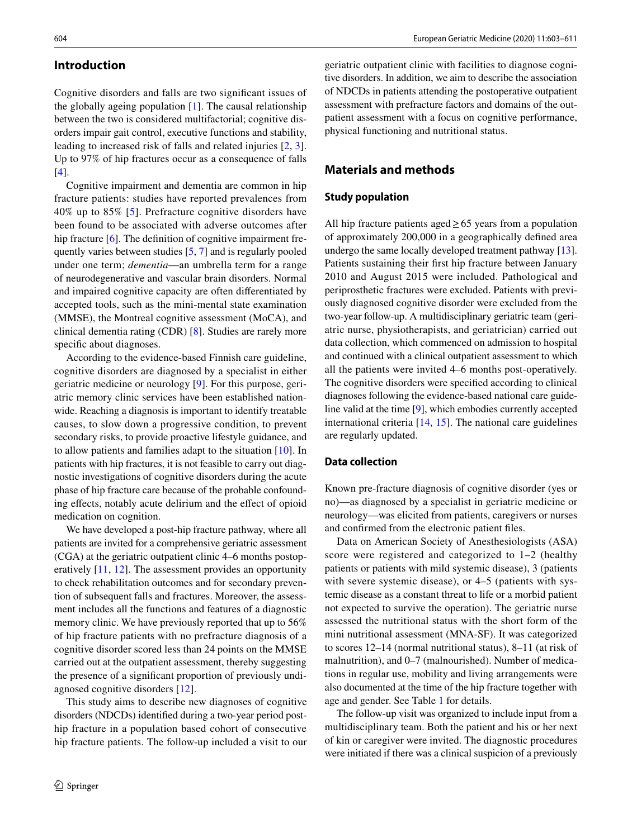#### **Introduction**

Cognitive disorders and falls are two signifcant issues of the globally ageing population [\[1](#page-7-0)]. The causal relationship between the two is considered multifactorial; cognitive disorders impair gait control, executive functions and stability, leading to increased risk of falls and related injuries [[2,](#page-7-1) [3](#page-7-2)]. Up to 97% of hip fractures occur as a consequence of falls [\[4](#page-7-3)].

Cognitive impairment and dementia are common in hip fracture patients: studies have reported prevalences from 40% up to 85% [\[5](#page-7-4)]. Prefracture cognitive disorders have been found to be associated with adverse outcomes after hip fracture [\[6](#page-7-5)]. The definition of cognitive impairment frequently varies between studies [[5,](#page-7-4) [7\]](#page-7-6) and is regularly pooled under one term; *dementia*—an umbrella term for a range of neurodegenerative and vascular brain disorders. Normal and impaired cognitive capacity are often diferentiated by accepted tools, such as the mini-mental state examination (MMSE), the Montreal cognitive assessment (MoCA), and clinical dementia rating (CDR) [\[8](#page-7-7)]. Studies are rarely more specific about diagnoses.

According to the evidence-based Finnish care guideline, cognitive disorders are diagnosed by a specialist in either geriatric medicine or neurology [\[9](#page-7-8)]. For this purpose, geriatric memory clinic services have been established nationwide. Reaching a diagnosis is important to identify treatable causes, to slow down a progressive condition, to prevent secondary risks, to provide proactive lifestyle guidance, and to allow patients and families adapt to the situation [\[10](#page-7-9)]. In patients with hip fractures, it is not feasible to carry out diagnostic investigations of cognitive disorders during the acute phase of hip fracture care because of the probable confounding effects, notably acute delirium and the effect of opioid medication on cognition.

We have developed a post-hip fracture pathway, where all patients are invited for a comprehensive geriatric assessment (CGA) at the geriatric outpatient clinic 4–6 months postoperatively [\[11](#page-7-10), [12\]](#page-7-11). The assessment provides an opportunity to check rehabilitation outcomes and for secondary prevention of subsequent falls and fractures. Moreover, the assessment includes all the functions and features of a diagnostic memory clinic. We have previously reported that up to 56% of hip fracture patients with no prefracture diagnosis of a cognitive disorder scored less than 24 points on the MMSE carried out at the outpatient assessment, thereby suggesting the presence of a signifcant proportion of previously undiagnosed cognitive disorders [\[12](#page-7-11)].

This study aims to describe new diagnoses of cognitive disorders (NDCDs) identifed during a two-year period posthip fracture in a population based cohort of consecutive hip fracture patients. The follow-up included a visit to our geriatric outpatient clinic with facilities to diagnose cognitive disorders. In addition, we aim to describe the association of NDCDs in patients attending the postoperative outpatient assessment with prefracture factors and domains of the outpatient assessment with a focus on cognitive performance, physical functioning and nutritional status.

# **Materials and methods**

#### **Study population**

All hip fracture patients aged≥65 years from a population of approximately 200,000 in a geographically defned area undergo the same locally developed treatment pathway [\[13](#page-7-12)]. Patients sustaining their frst hip fracture between January 2010 and August 2015 were included. Pathological and periprosthetic fractures were excluded. Patients with previously diagnosed cognitive disorder were excluded from the two-year follow-up. A multidisciplinary geriatric team (geriatric nurse, physiotherapists, and geriatrician) carried out data collection, which commenced on admission to hospital and continued with a clinical outpatient assessment to which all the patients were invited 4–6 months post-operatively. The cognitive disorders were specifed according to clinical diagnoses following the evidence-based national care guideline valid at the time [\[9\]](#page-7-8), which embodies currently accepted international criteria [\[14,](#page-7-13) [15\]](#page-8-0). The national care guidelines are regularly updated.

### **Data collection**

Known pre-fracture diagnosis of cognitive disorder (yes or no)—as diagnosed by a specialist in geriatric medicine or neurology—was elicited from patients, caregivers or nurses and confrmed from the electronic patient fles.

Data on American Society of Anesthesiologists (ASA) score were registered and categorized to 1–2 (healthy patients or patients with mild systemic disease), 3 (patients with severe systemic disease), or 4–5 (patients with systemic disease as a constant threat to life or a morbid patient not expected to survive the operation). The geriatric nurse assessed the nutritional status with the short form of the mini nutritional assessment (MNA-SF). It was categorized to scores 12–14 (normal nutritional status), 8–11 (at risk of malnutrition), and 0–7 (malnourished). Number of medications in regular use, mobility and living arrangements were also documented at the time of the hip fracture together with age and gender. See Table [1](#page-2-0) for details.

The follow-up visit was organized to include input from a multidisciplinary team. Both the patient and his or her next of kin or caregiver were invited. The diagnostic procedures were initiated if there was a clinical suspicion of a previously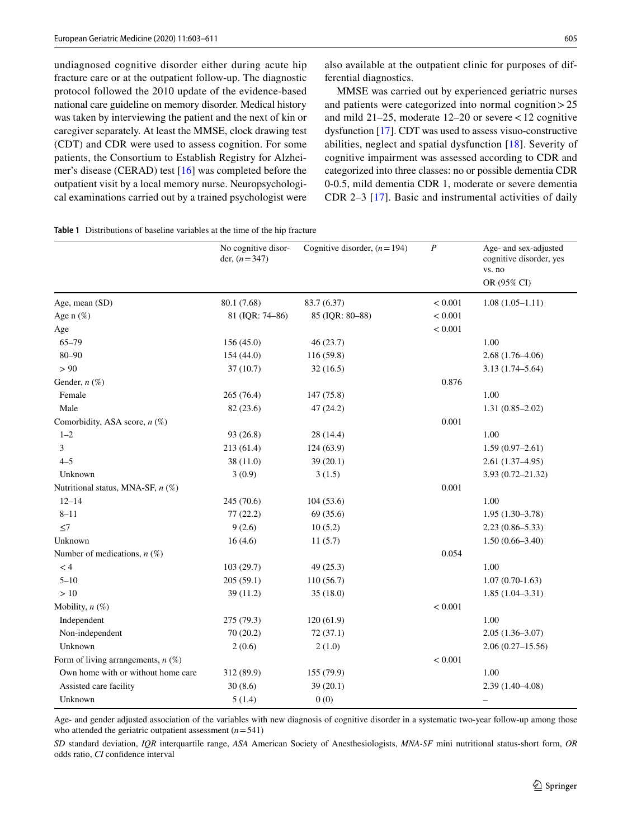undiagnosed cognitive disorder either during acute hip fracture care or at the outpatient follow-up. The diagnostic protocol followed the 2010 update of the evidence-based national care guideline on memory disorder. Medical history was taken by interviewing the patient and the next of kin or caregiver separately. At least the MMSE, clock drawing test (CDT) and CDR were used to assess cognition. For some patients, the Consortium to Establish Registry for Alzheimer's disease (CERAD) test [[16\]](#page-8-1) was completed before the outpatient visit by a local memory nurse. Neuropsychological examinations carried out by a trained psychologist were also available at the outpatient clinic for purposes of differential diagnostics.

MMSE was carried out by experienced geriatric nurses and patients were categorized into normal cognition >25 and mild 21–25, moderate  $12-20$  or severe < 12 cognitive dysfunction [\[17\]](#page-8-2). CDT was used to assess visuo-constructive abilities, neglect and spatial dysfunction [[18\]](#page-8-3). Severity of cognitive impairment was assessed according to CDR and categorized into three classes: no or possible dementia CDR 0-0.5, mild dementia CDR 1, moderate or severe dementia CDR 2–3 [\[17\]](#page-8-2). Basic and instrumental activities of daily

<span id="page-2-0"></span>

| <b>Table 1</b> Distributions of baseline variables at the time of the hip fracture |
|------------------------------------------------------------------------------------|
|                                                                                    |

|                                      | No cognitive disor-<br>der, $(n=347)$ | Cognitive disorder, $(n=194)$ | $\boldsymbol{P}$ | Age- and sex-adjusted<br>cognitive disorder, yes<br>vs. no |
|--------------------------------------|---------------------------------------|-------------------------------|------------------|------------------------------------------------------------|
|                                      |                                       |                               |                  | OR (95% CI)                                                |
| Age, mean (SD)                       | 80.1 (7.68)                           | 83.7 (6.37)                   | < 0.001          | $1.08(1.05-1.11)$                                          |
| Age $n$ (%)                          | 81 (IQR: 74-86)                       | 85 (IQR: 80-88)               | < 0.001          |                                                            |
| Age                                  |                                       |                               | < 0.001          |                                                            |
| $65 - 79$                            | 156(45.0)                             | 46(23.7)                      |                  | 1.00                                                       |
| $80 - 90$                            | 154 (44.0)                            | 116(59.8)                     |                  | $2.68(1.76-4.06)$                                          |
| > 90                                 | 37(10.7)                              | 32(16.5)                      |                  | $3.13(1.74 - 5.64)$                                        |
| Gender, $n$ $(\%)$                   |                                       |                               | 0.876            |                                                            |
| Female                               | 265 (76.4)                            | 147(75.8)                     |                  | 1.00                                                       |
| Male                                 | 82 (23.6)                             | 47(24.2)                      |                  | $1.31(0.85 - 2.02)$                                        |
| Comorbidity, ASA score, $n$ (%)      |                                       |                               | 0.001            |                                                            |
| $1 - 2$                              | 93 (26.8)                             | 28(14.4)                      |                  | 1.00                                                       |
| 3                                    | 213 (61.4)                            | 124(63.9)                     |                  | $1.59(0.97-2.61)$                                          |
| $4 - 5$                              | 38 (11.0)                             | 39(20.1)                      |                  | $2.61(1.37-4.95)$                                          |
| Unknown                              | 3(0.9)                                | 3(1.5)                        |                  | $3.93(0.72 - 21.32)$                                       |
| Nutritional status, MNA-SF, n (%)    |                                       |                               | 0.001            |                                                            |
| $12 - 14$                            | 245 (70.6)                            | 104(53.6)                     |                  | 1.00                                                       |
| $8 - 11$                             | 77(22.2)                              | 69 (35.6)                     |                  | $1.95(1.30-3.78)$                                          |
| $\leq 7$                             | 9(2.6)                                | 10(5.2)                       |                  | $2.23(0.86 - 5.33)$                                        |
| Unknown                              | 16(4.6)                               | 11(5.7)                       |                  | $1.50(0.66 - 3.40)$                                        |
| Number of medications, $n$ (%)       |                                       |                               | 0.054            |                                                            |
| < 4                                  | 103(29.7)                             | 49(25.3)                      |                  | 1.00                                                       |
| $5 - 10$                             | 205(59.1)                             | 110(56.7)                     |                  | $1.07(0.70-1.63)$                                          |
| >10                                  | 39(11.2)                              | 35(18.0)                      |                  | $1.85(1.04-3.31)$                                          |
| Mobility, $n$ $(\%)$                 |                                       |                               | < 0.001          |                                                            |
| Independent                          | 275 (79.3)                            | 120(61.9)                     |                  | 1.00                                                       |
| Non-independent                      | 70(20.2)                              | 72(37.1)                      |                  | $2.05(1.36-3.07)$                                          |
| Unknown                              | 2(0.6)                                | 2(1.0)                        |                  | $2.06(0.27-15.56)$                                         |
| Form of living arrangements, $n$ (%) |                                       |                               | < 0.001          |                                                            |
| Own home with or without home care   | 312 (89.9)                            | 155 (79.9)                    |                  | 1.00                                                       |
| Assisted care facility               | 30(8.6)                               | 39(20.1)                      |                  | $2.39(1.40-4.08)$                                          |
| Unknown                              | 5(1.4)                                | 0(0)                          |                  | $\overline{\phantom{0}}$                                   |

Age- and gender adjusted association of the variables with new diagnosis of cognitive disorder in a systematic two-year follow-up among those who attended the geriatric outpatient assessment (*n*=541)

*SD* standard deviation, *IQR* interquartile range, *ASA* American Society of Anesthesiologists, *MNA-SF* mini nutritional status-short form, *OR* odds ratio, *CI* confdence interval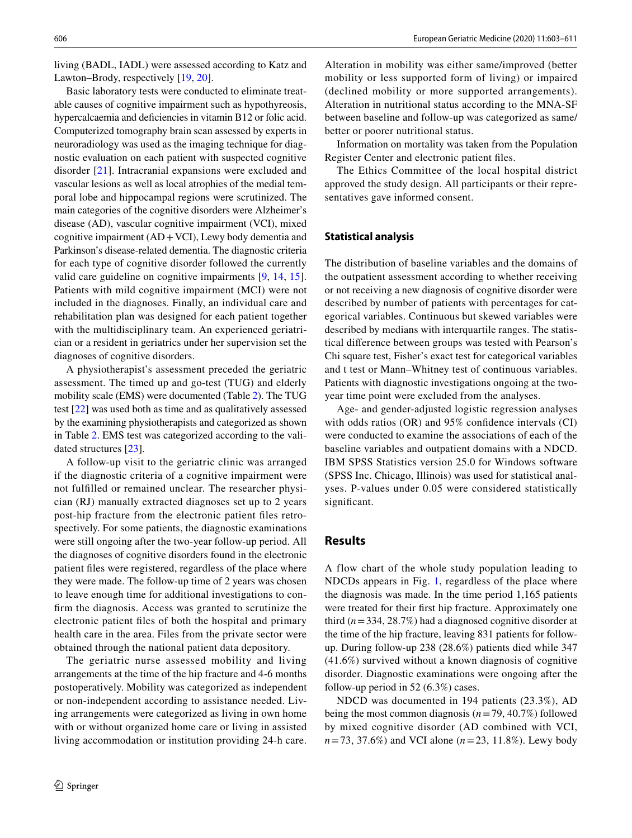living (BADL, IADL) were assessed according to Katz and Lawton–Brody, respectively [\[19,](#page-8-4) [20\]](#page-8-5).

Basic laboratory tests were conducted to eliminate treatable causes of cognitive impairment such as hypothyreosis, hypercalcaemia and deficiencies in vitamin B12 or folic acid. Computerized tomography brain scan assessed by experts in neuroradiology was used as the imaging technique for diagnostic evaluation on each patient with suspected cognitive disorder [[21\]](#page-8-6). Intracranial expansions were excluded and vascular lesions as well as local atrophies of the medial temporal lobe and hippocampal regions were scrutinized. The main categories of the cognitive disorders were Alzheimer's disease (AD), vascular cognitive impairment (VCI), mixed cognitive impairment (AD+VCI), Lewy body dementia and Parkinson's disease-related dementia. The diagnostic criteria for each type of cognitive disorder followed the currently valid care guideline on cognitive impairments [[9,](#page-7-8) [14,](#page-7-13) [15](#page-8-0)]. Patients with mild cognitive impairment (MCI) were not included in the diagnoses. Finally, an individual care and rehabilitation plan was designed for each patient together with the multidisciplinary team. An experienced geriatrician or a resident in geriatrics under her supervision set the diagnoses of cognitive disorders.

A physiotherapist's assessment preceded the geriatric assessment. The timed up and go-test (TUG) and elderly mobility scale (EMS) were documented (Table [2\)](#page-4-0). The TUG test [[22\]](#page-8-7) was used both as time and as qualitatively assessed by the examining physiotherapists and categorized as shown in Table [2](#page-4-0). EMS test was categorized according to the validated structures [[23\]](#page-8-8).

A follow-up visit to the geriatric clinic was arranged if the diagnostic criteria of a cognitive impairment were not fulflled or remained unclear. The researcher physician (RJ) manually extracted diagnoses set up to 2 years post-hip fracture from the electronic patient fles retrospectively. For some patients, the diagnostic examinations were still ongoing after the two-year follow-up period. All the diagnoses of cognitive disorders found in the electronic patient fles were registered, regardless of the place where they were made. The follow-up time of 2 years was chosen to leave enough time for additional investigations to confrm the diagnosis. Access was granted to scrutinize the electronic patient fles of both the hospital and primary health care in the area. Files from the private sector were obtained through the national patient data depository.

The geriatric nurse assessed mobility and living arrangements at the time of the hip fracture and 4-6 months postoperatively. Mobility was categorized as independent or non-independent according to assistance needed. Living arrangements were categorized as living in own home with or without organized home care or living in assisted living accommodation or institution providing 24-h care.

Alteration in mobility was either same/improved (better mobility or less supported form of living) or impaired (declined mobility or more supported arrangements). Alteration in nutritional status according to the MNA-SF between baseline and follow-up was categorized as same/ better or poorer nutritional status.

Information on mortality was taken from the Population Register Center and electronic patient fles.

The Ethics Committee of the local hospital district approved the study design. All participants or their representatives gave informed consent.

#### **Statistical analysis**

The distribution of baseline variables and the domains of the outpatient assessment according to whether receiving or not receiving a new diagnosis of cognitive disorder were described by number of patients with percentages for categorical variables. Continuous but skewed variables were described by medians with interquartile ranges. The statistical diference between groups was tested with Pearson's Chi square test, Fisher's exact test for categorical variables and t test or Mann–Whitney test of continuous variables. Patients with diagnostic investigations ongoing at the twoyear time point were excluded from the analyses.

Age- and gender-adjusted logistic regression analyses with odds ratios (OR) and 95% confdence intervals (CI) were conducted to examine the associations of each of the baseline variables and outpatient domains with a NDCD. IBM SPSS Statistics version 25.0 for Windows software (SPSS Inc. Chicago, Illinois) was used for statistical analyses. P-values under 0.05 were considered statistically significant.

# **Results**

A flow chart of the whole study population leading to NDCDs appears in Fig. [1](#page-5-0), regardless of the place where the diagnosis was made. In the time period 1,165 patients were treated for their frst hip fracture. Approximately one third  $(n=334, 28.7\%)$  had a diagnosed cognitive disorder at the time of the hip fracture, leaving 831 patients for followup. During follow-up 238 (28.6%) patients died while 347 (41.6%) survived without a known diagnosis of cognitive disorder. Diagnostic examinations were ongoing after the follow-up period in 52 (6.3%) cases.

NDCD was documented in 194 patients (23.3%), AD being the most common diagnosis (*n*=79, 40.7%) followed by mixed cognitive disorder (AD combined with VCI, *n*=73, 37.6%) and VCI alone (*n*=23, 11.8%). Lewy body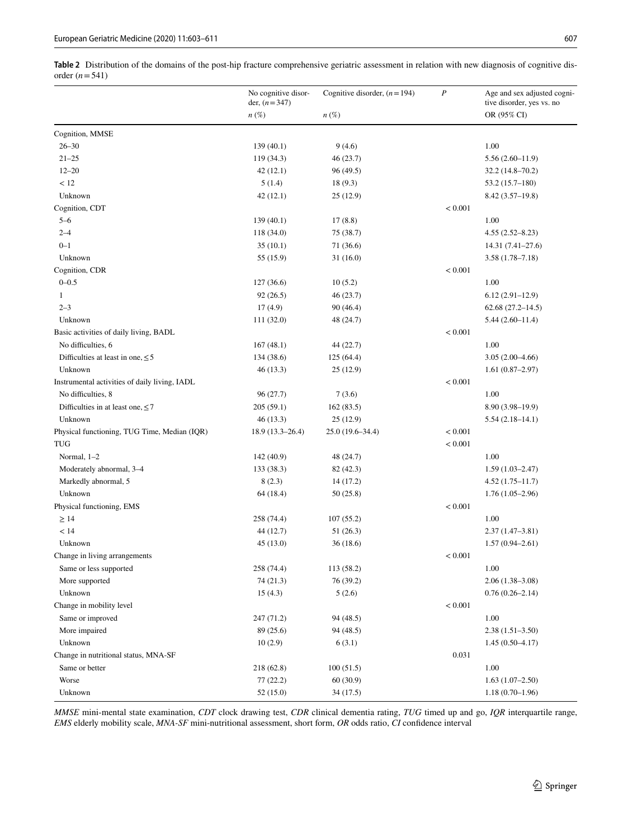<span id="page-4-0"></span>**Table 2** Distribution of the domains of the post-hip fracture comprehensive geriatric assessment in relation with new diagnosis of cognitive disorder (*n*=541)

|                                               | No cognitive disor-<br>der, $(n=347)$<br>$n(\%)$ | Cognitive disorder, $(n=194)$<br>$n(\%)$ | $\boldsymbol{P}$ | Age and sex adjusted cogni-<br>tive disorder, yes vs. no<br>OR (95% CI) |
|-----------------------------------------------|--------------------------------------------------|------------------------------------------|------------------|-------------------------------------------------------------------------|
|                                               |                                                  |                                          |                  |                                                                         |
| Cognition, MMSE                               |                                                  |                                          |                  |                                                                         |
| $26 - 30$                                     | 139(40.1)                                        | 9(4.6)                                   |                  | 1.00                                                                    |
| $21 - 25$                                     | 119 (34.3)                                       | 46 (23.7)                                |                  | $5.56(2.60-11.9)$                                                       |
| $12 - 20$                                     | 42 (12.1)                                        | 96 (49.5)                                |                  | 32.2 (14.8-70.2)                                                        |
| < 12                                          | 5(1.4)                                           | 18(9.3)                                  |                  | $53.2(15.7-180)$                                                        |
| Unknown                                       | 42(12.1)                                         | 25 (12.9)                                |                  | $8.42(3.57-19.8)$                                                       |
| Cognition, CDT                                |                                                  |                                          | < 0.001          |                                                                         |
| $5 - 6$                                       | 139(40.1)                                        | 17(8.8)                                  |                  | 1.00                                                                    |
| $2 - 4$                                       | 118 (34.0)                                       | 75 (38.7)                                |                  | $4.55(2.52 - 8.23)$                                                     |
| $0 - 1$                                       | 35(10.1)                                         | 71 (36.6)                                |                  | $14.31(7.41-27.6)$                                                      |
| Unknown                                       | 55 (15.9)                                        | 31(16.0)                                 |                  | $3.58(1.78 - 7.18)$                                                     |
| Cognition, CDR                                |                                                  |                                          | < 0.001          |                                                                         |
| $0 - 0.5$                                     | 127(36.6)                                        | 10(5.2)                                  |                  | 1.00                                                                    |
| $\mathbf{1}$                                  | 92(26.5)                                         | 46 (23.7)                                |                  | $6.12(2.91-12.9)$                                                       |
| $2 - 3$                                       | 17(4.9)                                          | 90(46.4)                                 |                  | $62.68(27.2 - 14.5)$                                                    |
| Unknown                                       | 111 (32.0)                                       | 48 (24.7)                                |                  | $5.44(2.60-11.4)$                                                       |
| Basic activities of daily living, BADL        |                                                  |                                          | < 0.001          |                                                                         |
| No difficulties, 6                            | 167(48.1)                                        | 44 (22.7)                                |                  | 1.00                                                                    |
| Difficulties at least in one, $\leq 5$        | 134 (38.6)                                       | 125(64.4)                                |                  | $3.05(2.00-4.66)$                                                       |
| Unknown                                       | 46 (13.3)                                        | 25(12.9)                                 |                  | $1.61(0.87-2.97)$                                                       |
| Instrumental activities of daily living, IADL |                                                  |                                          | < 0.001          |                                                                         |
| No difficulties, 8                            | 96 (27.7)                                        | 7(3.6)                                   |                  | 1.00                                                                    |
| Difficulties in at least one, $\leq$ 7        | 205 (59.1)                                       | 162(83.5)                                |                  | $8.90(3.98 - 19.9)$                                                     |
| Unknown                                       | 46 (13.3)                                        | 25(12.9)                                 |                  | $5.54(2.18-14.1)$                                                       |
| Physical functioning, TUG Time, Median (IQR)  | $18.9(13.3-26.4)$                                | 25.0 (19.6-34.4)                         | < 0.001          |                                                                         |
| TUG                                           |                                                  |                                          | < 0.001          |                                                                         |
| Normal, 1-2                                   | 142 (40.9)                                       | 48 (24.7)                                |                  | 1.00                                                                    |
| Moderately abnormal, 3-4                      | 133 (38.3)                                       | 82 (42.3)                                |                  | $1.59(1.03 - 2.47)$                                                     |
| Markedly abnormal, 5                          | 8(2.3)                                           | 14 (17.2)                                |                  | $4.52(1.75 - 11.7)$                                                     |
| Unknown                                       | 64 (18.4)                                        | 50 (25.8)                                |                  | $1.76(1.05-2.96)$                                                       |
| Physical functioning, EMS                     |                                                  |                                          | < 0.001          |                                                                         |
| $\geq$ 14                                     | 258 (74.4)                                       | 107(55.2)                                |                  | 1.00                                                                    |
| < 14                                          | 44 (12.7)                                        | 51 (26.3)                                |                  | $2.37(1.47-3.81)$                                                       |
| Unknown                                       | 45 (13.0)                                        | 36(18.6)                                 |                  | $1.57(0.94 - 2.61)$                                                     |
| Change in living arrangements                 |                                                  |                                          | < 0.001          |                                                                         |
| Same or less supported                        | 258 (74.4)                                       | 113 (58.2)                               |                  | 1.00                                                                    |
| More supported                                | 74(21.3)                                         | 76 (39.2)                                |                  | $2.06(1.38 - 3.08)$                                                     |
| Unknown                                       | 15(4.3)                                          | 5(2.6)                                   |                  | $0.76(0.26 - 2.14)$                                                     |
| Change in mobility level                      |                                                  |                                          | < 0.001          |                                                                         |
| Same or improved                              | 247 (71.2)                                       | 94 (48.5)                                |                  | 1.00                                                                    |
| More impaired                                 | 89 (25.6)                                        | 94 (48.5)                                |                  | $2.38(1.51-3.50)$                                                       |
| Unknown                                       | 10(2.9)                                          | 6(3.1)                                   |                  | $1.45(0.50-4.17)$                                                       |
| Change in nutritional status, MNA-SF          |                                                  |                                          | 0.031            |                                                                         |
| Same or better                                | 218 (62.8)                                       | 100(51.5)                                |                  | 1.00                                                                    |
| Worse                                         | 77 (22.2)                                        | 60(30.9)                                 |                  | $1.63(1.07-2.50)$                                                       |
| Unknown                                       | 52 (15.0)                                        | 34(17.5)                                 |                  | $1.18(0.70-1.96)$                                                       |

*MMSE* mini-mental state examination, *CDT* clock drawing test, *CDR* clinical dementia rating, *TUG* timed up and go, *IQR* interquartile range, *EMS* elderly mobility scale, *MNA-SF* mini-nutritional assessment, short form, *OR* odds ratio, *CI* confdence interval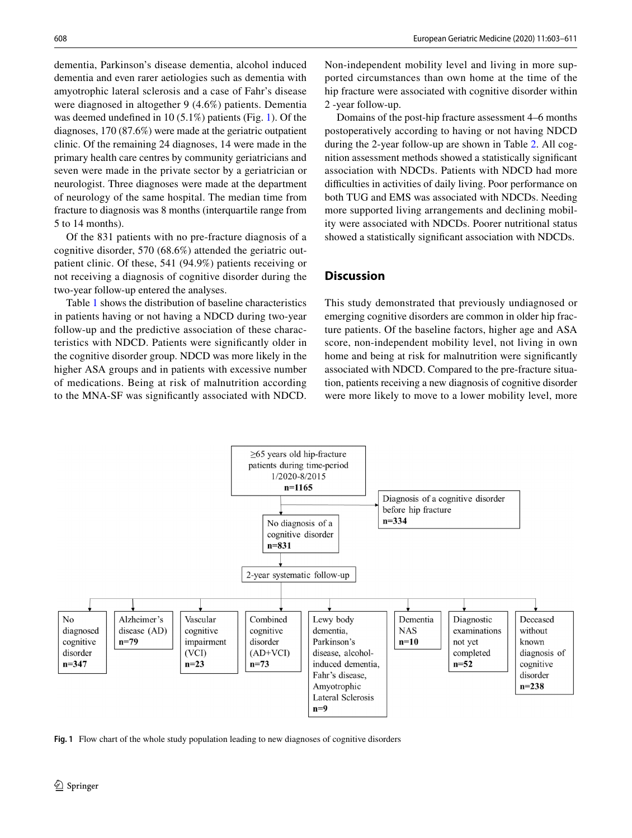dementia, Parkinson's disease dementia, alcohol induced dementia and even rarer aetiologies such as dementia with amyotrophic lateral sclerosis and a case of Fahr's disease were diagnosed in altogether 9 (4.6%) patients. Dementia was deemed undefned in 10 (5.1%) patients (Fig. [1\)](#page-5-0). Of the diagnoses, 170 (87.6%) were made at the geriatric outpatient clinic. Of the remaining 24 diagnoses, 14 were made in the primary health care centres by community geriatricians and seven were made in the private sector by a geriatrician or neurologist. Three diagnoses were made at the department of neurology of the same hospital. The median time from fracture to diagnosis was 8 months (interquartile range from 5 to 14 months).

Of the 831 patients with no pre-fracture diagnosis of a cognitive disorder, 570 (68.6%) attended the geriatric outpatient clinic. Of these, 541 (94.9%) patients receiving or not receiving a diagnosis of cognitive disorder during the two-year follow-up entered the analyses.

Table [1](#page-2-0) shows the distribution of baseline characteristics in patients having or not having a NDCD during two-year follow-up and the predictive association of these characteristics with NDCD. Patients were signifcantly older in the cognitive disorder group. NDCD was more likely in the higher ASA groups and in patients with excessive number of medications. Being at risk of malnutrition according to the MNA-SF was signifcantly associated with NDCD.

Non-independent mobility level and living in more supported circumstances than own home at the time of the hip fracture were associated with cognitive disorder within 2 -year follow-up.

Domains of the post-hip fracture assessment 4–6 months postoperatively according to having or not having NDCD during the 2-year follow-up are shown in Table [2](#page-4-0). All cognition assessment methods showed a statistically signifcant association with NDCDs. Patients with NDCD had more difficulties in activities of daily living. Poor performance on both TUG and EMS was associated with NDCDs. Needing more supported living arrangements and declining mobility were associated with NDCDs. Poorer nutritional status showed a statistically signifcant association with NDCDs.

# **Discussion**

This study demonstrated that previously undiagnosed or emerging cognitive disorders are common in older hip fracture patients. Of the baseline factors, higher age and ASA score, non-independent mobility level, not living in own home and being at risk for malnutrition were signifcantly associated with NDCD. Compared to the pre-fracture situation, patients receiving a new diagnosis of cognitive disorder were more likely to move to a lower mobility level, more



<span id="page-5-0"></span>**Fig. 1** Flow chart of the whole study population leading to new diagnoses of cognitive disorders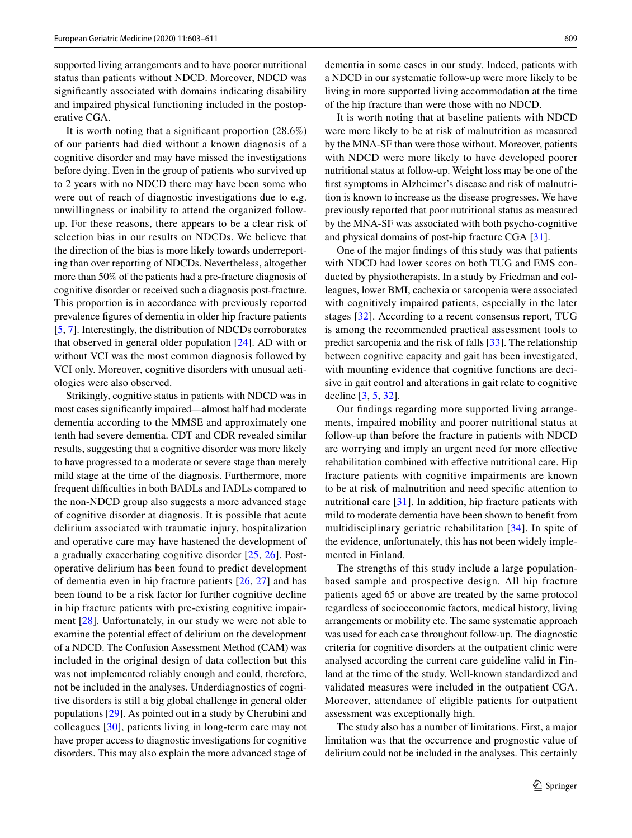supported living arrangements and to have poorer nutritional status than patients without NDCD. Moreover, NDCD was signifcantly associated with domains indicating disability and impaired physical functioning included in the postoperative CGA.

It is worth noting that a signifcant proportion (28.6%) of our patients had died without a known diagnosis of a cognitive disorder and may have missed the investigations before dying. Even in the group of patients who survived up to 2 years with no NDCD there may have been some who were out of reach of diagnostic investigations due to e.g. unwillingness or inability to attend the organized followup. For these reasons, there appears to be a clear risk of selection bias in our results on NDCDs. We believe that the direction of the bias is more likely towards underreporting than over reporting of NDCDs. Nevertheless, altogether more than 50% of the patients had a pre-fracture diagnosis of cognitive disorder or received such a diagnosis post-fracture. This proportion is in accordance with previously reported prevalence fgures of dementia in older hip fracture patients [\[5](#page-7-4), [7](#page-7-6)]. Interestingly, the distribution of NDCDs corroborates that observed in general older population [[24](#page-8-9)]. AD with or without VCI was the most common diagnosis followed by VCI only. Moreover, cognitive disorders with unusual aetiologies were also observed.

Strikingly, cognitive status in patients with NDCD was in most cases signifcantly impaired—almost half had moderate dementia according to the MMSE and approximately one tenth had severe dementia. CDT and CDR revealed similar results, suggesting that a cognitive disorder was more likely to have progressed to a moderate or severe stage than merely mild stage at the time of the diagnosis. Furthermore, more frequent difficulties in both BADLs and IADLs compared to the non-NDCD group also suggests a more advanced stage of cognitive disorder at diagnosis. It is possible that acute delirium associated with traumatic injury, hospitalization and operative care may have hastened the development of a gradually exacerbating cognitive disorder [[25](#page-8-10), [26\]](#page-8-11). Postoperative delirium has been found to predict development of dementia even in hip fracture patients [\[26,](#page-8-11) [27](#page-8-12)] and has been found to be a risk factor for further cognitive decline in hip fracture patients with pre-existing cognitive impairment [\[28\]](#page-8-13). Unfortunately, in our study we were not able to examine the potential effect of delirium on the development of a NDCD. The Confusion Assessment Method (CAM) was included in the original design of data collection but this was not implemented reliably enough and could, therefore, not be included in the analyses. Underdiagnostics of cognitive disorders is still a big global challenge in general older populations [[29\]](#page-8-14). As pointed out in a study by Cherubini and colleagues [[30\]](#page-8-15), patients living in long-term care may not have proper access to diagnostic investigations for cognitive disorders. This may also explain the more advanced stage of dementia in some cases in our study. Indeed, patients with a NDCD in our systematic follow-up were more likely to be living in more supported living accommodation at the time of the hip fracture than were those with no NDCD.

It is worth noting that at baseline patients with NDCD were more likely to be at risk of malnutrition as measured by the MNA-SF than were those without. Moreover, patients with NDCD were more likely to have developed poorer nutritional status at follow-up. Weight loss may be one of the frst symptoms in Alzheimer's disease and risk of malnutrition is known to increase as the disease progresses. We have previously reported that poor nutritional status as measured by the MNA-SF was associated with both psycho-cognitive and physical domains of post-hip fracture CGA [[31\]](#page-8-16).

One of the major fndings of this study was that patients with NDCD had lower scores on both TUG and EMS conducted by physiotherapists. In a study by Friedman and colleagues, lower BMI, cachexia or sarcopenia were associated with cognitively impaired patients, especially in the later stages [\[32\]](#page-8-17). According to a recent consensus report, TUG is among the recommended practical assessment tools to predict sarcopenia and the risk of falls [[33\]](#page-8-18). The relationship between cognitive capacity and gait has been investigated, with mounting evidence that cognitive functions are decisive in gait control and alterations in gait relate to cognitive decline [\[3](#page-7-2), [5](#page-7-4), [32](#page-8-17)].

Our fndings regarding more supported living arrangements, impaired mobility and poorer nutritional status at follow-up than before the fracture in patients with NDCD are worrying and imply an urgent need for more efective rehabilitation combined with efective nutritional care. Hip fracture patients with cognitive impairments are known to be at risk of malnutrition and need specifc attention to nutritional care [\[31](#page-8-16)]. In addition, hip fracture patients with mild to moderate dementia have been shown to beneft from multidisciplinary geriatric rehabilitation [\[34\]](#page-8-19). In spite of the evidence, unfortunately, this has not been widely implemented in Finland.

The strengths of this study include a large populationbased sample and prospective design. All hip fracture patients aged 65 or above are treated by the same protocol regardless of socioeconomic factors, medical history, living arrangements or mobility etc. The same systematic approach was used for each case throughout follow-up. The diagnostic criteria for cognitive disorders at the outpatient clinic were analysed according the current care guideline valid in Finland at the time of the study. Well-known standardized and validated measures were included in the outpatient CGA. Moreover, attendance of eligible patients for outpatient assessment was exceptionally high.

The study also has a number of limitations. First, a major limitation was that the occurrence and prognostic value of delirium could not be included in the analyses. This certainly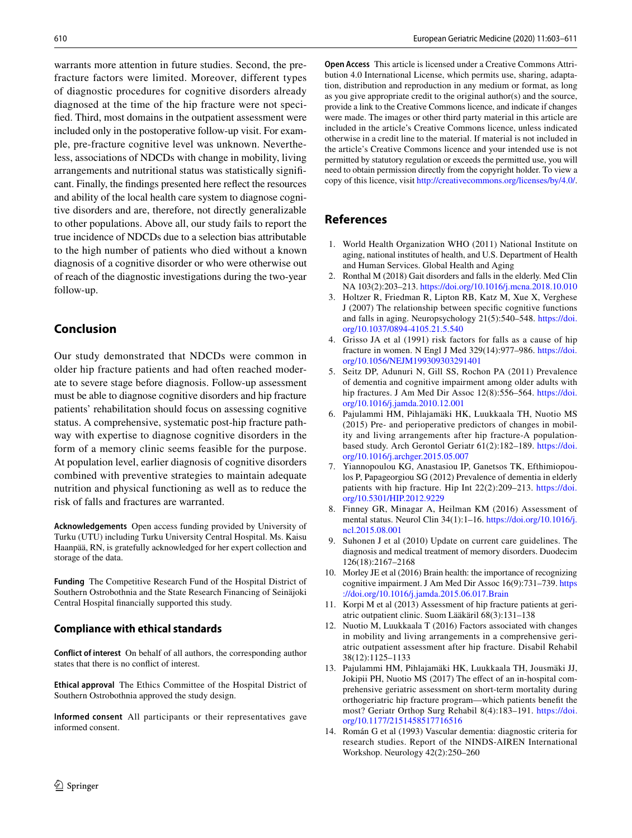warrants more attention in future studies. Second, the prefracture factors were limited. Moreover, different types of diagnostic procedures for cognitive disorders already diagnosed at the time of the hip fracture were not specifed. Third, most domains in the outpatient assessment were included only in the postoperative follow-up visit. For example, pre-fracture cognitive level was unknown. Nevertheless, associations of NDCDs with change in mobility, living arrangements and nutritional status was statistically signifcant. Finally, the fndings presented here refect the resources and ability of the local health care system to diagnose cognitive disorders and are, therefore, not directly generalizable to other populations. Above all, our study fails to report the true incidence of NDCDs due to a selection bias attributable to the high number of patients who died without a known diagnosis of a cognitive disorder or who were otherwise out of reach of the diagnostic investigations during the two-year follow-up.

# **Conclusion**

Our study demonstrated that NDCDs were common in older hip fracture patients and had often reached moderate to severe stage before diagnosis. Follow-up assessment must be able to diagnose cognitive disorders and hip fracture patients' rehabilitation should focus on assessing cognitive status. A comprehensive, systematic post-hip fracture pathway with expertise to diagnose cognitive disorders in the form of a memory clinic seems feasible for the purpose. At population level, earlier diagnosis of cognitive disorders combined with preventive strategies to maintain adequate nutrition and physical functioning as well as to reduce the risk of falls and fractures are warranted.

**Acknowledgements** Open access funding provided by University of Turku (UTU) including Turku University Central Hospital. Ms. Kaisu Haanpää, RN, is gratefully acknowledged for her expert collection and storage of the data.

**Funding** The Competitive Research Fund of the Hospital District of Southern Ostrobothnia and the State Research Financing of Seinäjoki Central Hospital fnancially supported this study.

## **Compliance with ethical standards**

**Conflict of interest** On behalf of all authors, the corresponding author states that there is no confict of interest.

**Ethical approval** The Ethics Committee of the Hospital District of Southern Ostrobothnia approved the study design.

**Informed consent** All participants or their representatives gave informed consent.

**Open Access** This article is licensed under a Creative Commons Attribution 4.0 International License, which permits use, sharing, adaptation, distribution and reproduction in any medium or format, as long as you give appropriate credit to the original author(s) and the source, provide a link to the Creative Commons licence, and indicate if changes were made. The images or other third party material in this article are included in the article's Creative Commons licence, unless indicated otherwise in a credit line to the material. If material is not included in the article's Creative Commons licence and your intended use is not permitted by statutory regulation or exceeds the permitted use, you will need to obtain permission directly from the copyright holder. To view a copy of this licence, visit<http://creativecommons.org/licenses/by/4.0/>.

# **References**

- <span id="page-7-0"></span>1. World Health Organization WHO (2011) National Institute on aging, national institutes of health, and U.S. Department of Health and Human Services. Global Health and Aging
- <span id="page-7-1"></span>2. Ronthal M (2018) Gait disorders and falls in the elderly. Med Clin NA 103(2):203–213.<https://doi.org/10.1016/j.mcna.2018.10.010>
- <span id="page-7-2"></span>3. Holtzer R, Friedman R, Lipton RB, Katz M, Xue X, Verghese J (2007) The relationship between specifc cognitive functions and falls in aging. Neuropsychology 21(5):540–548. [https://doi.](https://doi.org/10.1037/0894-4105.21.5.540) [org/10.1037/0894-4105.21.5.540](https://doi.org/10.1037/0894-4105.21.5.540)
- <span id="page-7-3"></span>4. Grisso JA et al (1991) risk factors for falls as a cause of hip fracture in women. N Engl J Med 329(14):977–986. [https://doi.](https://doi.org/10.1056/NEJM199309303291401) [org/10.1056/NEJM199309303291401](https://doi.org/10.1056/NEJM199309303291401)
- <span id="page-7-4"></span>5. Seitz DP, Adunuri N, Gill SS, Rochon PA (2011) Prevalence of dementia and cognitive impairment among older adults with hip fractures. J Am Med Dir Assoc 12(8):556–564. [https://doi.](https://doi.org/10.1016/j.jamda.2010.12.001) [org/10.1016/j.jamda.2010.12.001](https://doi.org/10.1016/j.jamda.2010.12.001)
- <span id="page-7-5"></span>6. Pajulammi HM, Pihlajamäki HK, Luukkaala TH, Nuotio MS (2015) Pre- and perioperative predictors of changes in mobility and living arrangements after hip fracture-A populationbased study. Arch Gerontol Geriatr 61(2):182–189. [https://doi.](https://doi.org/10.1016/j.archger.2015.05.007) [org/10.1016/j.archger.2015.05.007](https://doi.org/10.1016/j.archger.2015.05.007)
- <span id="page-7-6"></span>7. Yiannopoulou KG, Anastasiou IP, Ganetsos TK, Efthimiopoulos P, Papageorgiou SG (2012) Prevalence of dementia in elderly patients with hip fracture. Hip Int 22(2):209–213. [https://doi.](https://doi.org/10.5301/HIP.2012.9229) [org/10.5301/HIP.2012.9229](https://doi.org/10.5301/HIP.2012.9229)
- <span id="page-7-7"></span>8. Finney GR, Minagar A, Heilman KM (2016) Assessment of mental status. Neurol Clin 34(1):1–16. [https://doi.org/10.1016/j.](https://doi.org/10.1016/j.ncl.2015.08.001) [ncl.2015.08.001](https://doi.org/10.1016/j.ncl.2015.08.001)
- <span id="page-7-8"></span>9. Suhonen J et al (2010) Update on current care guidelines. The diagnosis and medical treatment of memory disorders. Duodecim 126(18):2167–2168
- <span id="page-7-9"></span>10. Morley JE et al (2016) Brain health: the importance of recognizing cognitive impairment. J Am Med Dir Assoc 16(9):731–739. [https](https://doi.org/10.1016/j.jamda.2015.06.017.Brain) [://doi.org/10.1016/j.jamda.2015.06.017.Brain](https://doi.org/10.1016/j.jamda.2015.06.017.Brain)
- <span id="page-7-10"></span>11. Korpi M et al (2013) Assessment of hip fracture patients at geriatric outpatient clinic. Suom Lääkäril 68(3):131–138
- <span id="page-7-11"></span>12. Nuotio M, Luukkaala T (2016) Factors associated with changes in mobility and living arrangements in a comprehensive geriatric outpatient assessment after hip fracture. Disabil Rehabil 38(12):1125–1133
- <span id="page-7-12"></span>13. Pajulammi HM, Pihlajamäki HK, Luukkaala TH, Jousmäki JJ, Jokipii PH, Nuotio MS (2017) The efect of an in-hospital comprehensive geriatric assessment on short-term mortality during orthogeriatric hip fracture program—which patients beneft the most? Geriatr Orthop Surg Rehabil 8(4):183–191. [https://doi.](https://doi.org/10.1177/2151458517716516) [org/10.1177/2151458517716516](https://doi.org/10.1177/2151458517716516)
- <span id="page-7-13"></span>14. Román G et al (1993) Vascular dementia: diagnostic criteria for research studies. Report of the NINDS-AIREN International Workshop. Neurology 42(2):250–260